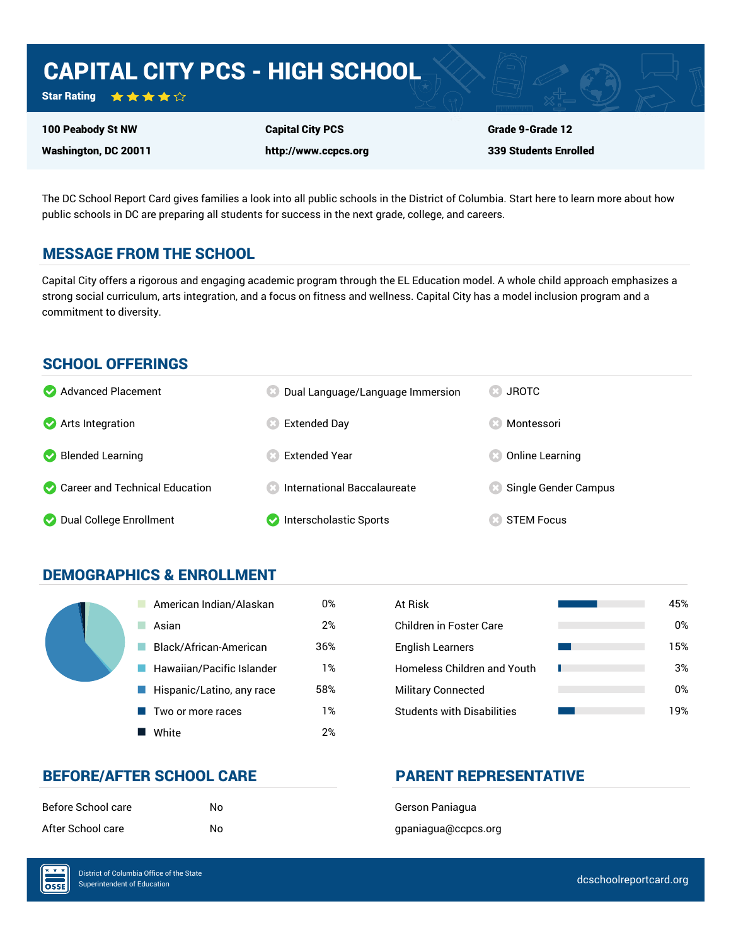# CAPITAL CITY PCS - HIGH SCHOOL

Star Rating ★★★★☆

100 Peabody St NW

Washington, DC 20011

Capital City PCS http://www.ccpcs.org Grade 9-Grade 12 339 Students Enrolled

The DC School Report Card gives families a look into all public schools in the District of Columbia. Start here to learn more about how public schools in DC are preparing all students for success in the next grade, college, and careers.

## MESSAGE FROM THE SCHOOL

Capital City offers a rigorous and engaging academic program through the EL Education model. A whole child approach emphasizes a strong social curriculum, arts integration, and a focus on fitness and wellness. Capital City has a model inclusion program and a commitment to diversity.

## SCHOOL OFFERINGS

| Advanced Placement             | Dual Language/Language Immersion  | <b>JROTC</b><br>$\mathbb{R}$ |
|--------------------------------|-----------------------------------|------------------------------|
| Arts Integration               | Extended Day                      | Montessori                   |
| Blended Learning               | <b>Extended Year</b>              | Online Learning              |
| Career and Technical Education | <b>Confidential Baccalaureate</b> | Single Gender Campus         |
| O Dual College Enrollment      | Interscholastic Sports            | <b>STEM Focus</b>            |

## DEMOGRAPHICS & ENROLLMENT

| American Indian/Alaskan   | 0%  | At Risk                            |
|---------------------------|-----|------------------------------------|
| Asian                     | 2%  | <b>Children in Foster Care</b>     |
| Black/African-American    | 36% | <b>English Learners</b>            |
| Hawaiian/Pacific Islander | 1%  | <b>Homeless Children and Youth</b> |
| Hispanic/Latino, any race | 58% | <b>Military Connected</b>          |
| Two or more races         | 1%  | <b>Students with Disabilities</b>  |
| White                     | 2%  |                                    |

| At Risk                            | 45% |
|------------------------------------|-----|
| Children in Foster Care            | 0%  |
| <b>English Learners</b>            | 15% |
| <b>Homeless Children and Youth</b> | 3%  |
| <b>Military Connected</b>          | 0%  |
| <b>Students with Disabilities</b>  | 19% |

## BEFORE/AFTER SCHOOL CARE PARENT REPRESENTATIVE

| Before School care | N٥ |
|--------------------|----|
| After School care  | N٥ |

Gerson Paniagua gpaniagua@ccpcs.org

 $\overline{\text{OSE}}$